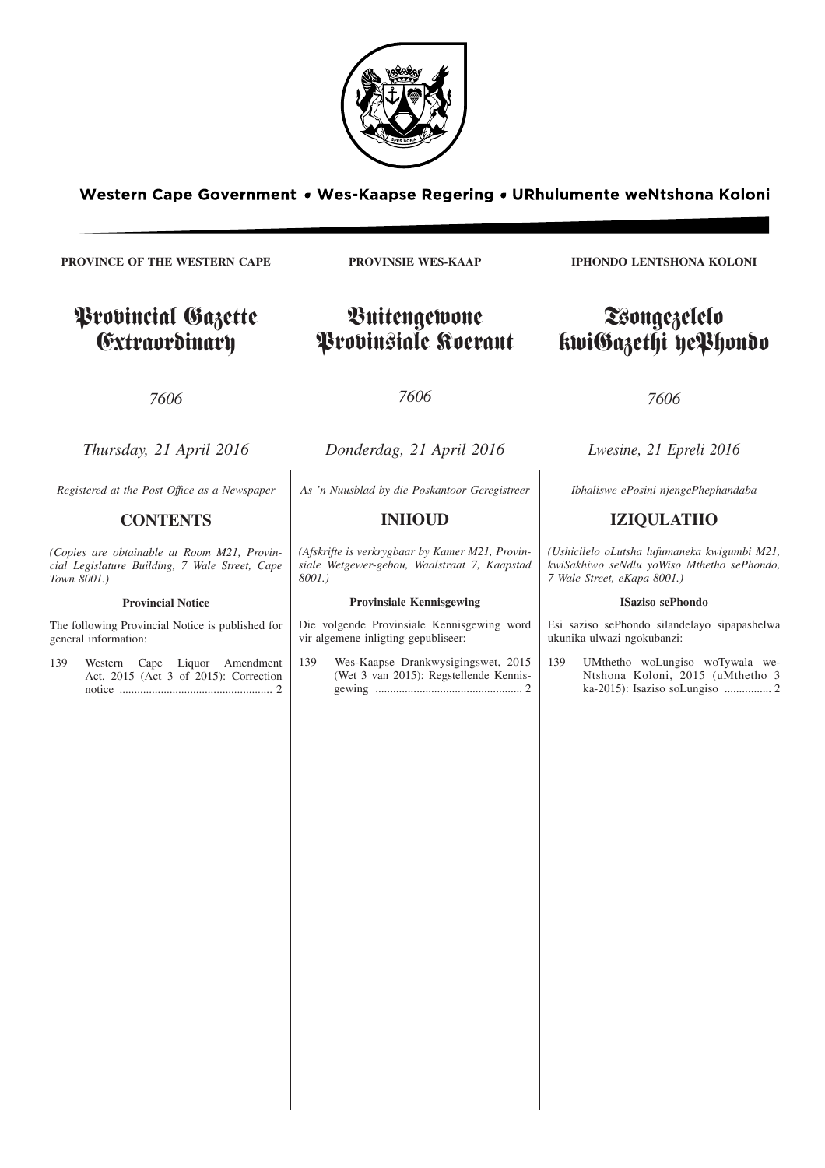

Western Cape Government • Wes-Kaapse Regering • URhulumente weNtshona Koloni

**PROVINCE OF THE WESTERN CAPE** Provincial Gazette Extraordinary *7606 Thursday, 21 April 2016* **PROVINSIE WES-KAAP** Buitengewone Provinsiale Koerant *7606 Donderdag, 21 April 2016* **IPHONDO LENTSHONA KOLONI** Tsongezelelo kwiGazethi yePhondo *7606 Lwesine, 21 Epreli 2016 Registered at the Post Offıce as a Newspaper* **CONTENTS** *(Copies are obtainable at Room M21, Provincial Legislature Building, 7 Wale Street, Cape Town 8001.)* **Provincial Notice** The following Provincial Notice is published for general information: 139 Western Cape Liquor Amendment Act, 2015 (Act 3 of 2015): Correction notice .................................................... 2 *As 'n Nuusblad by die Poskantoor Geregistreer* **INHOUD** *(Afskrifte is verkrygbaar by Kamer M21, Provinsiale Wetgewer-gebou, Waalstraat 7, Kaapstad 8001.)* **Provinsiale Kennisgewing** Die volgende Provinsiale Kennisgewing word vir algemene inligting gepubliseer: 139 Wes-Kaapse Drankwysigingswet, 2015 (Wet 3 van 2015): Regstellende Kennisgewing .................................................. 2 *Ibhaliswe ePosini njengePhephandaba* **IZIQULATHO** *(Ushicilelo oLutsha lufumaneka kwigumbi M21, kwiSakhiwo seNdlu yoWiso Mthetho sePhondo, 7 Wale Street, eKapa 8001.)* **ISaziso sePhondo** Esi saziso sePhondo silandelayo sipapashelwa ukunika ulwazi ngokubanzi: 139 UMthetho woLungiso woTywala we-Ntshona Koloni, 2015 (uMthetho 3 ka-2015): Isaziso soLungiso ................ 2